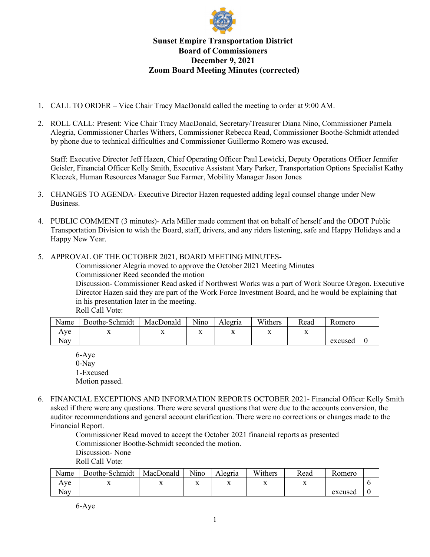

## **Sunset Empire Transportation District Board of Commissioners December 9, 2021 Zoom Board Meeting Minutes (corrected)**

- 1. CALL TO ORDER Vice Chair Tracy MacDonald called the meeting to order at 9:00 AM.
- 2. ROLL CALL: Present: Vice Chair Tracy MacDonald, Secretary/Treasurer Diana Nino, Commissioner Pamela Alegria, Commissioner Charles Withers, Commissioner Rebecca Read, Commissioner Boothe-Schmidt attended by phone due to technical difficulties and Commissioner Guillermo Romero was excused.

Staff: Executive Director Jeff Hazen, Chief Operating Officer Paul Lewicki, Deputy Operations Officer Jennifer Geisler, Financial Officer Kelly Smith, Executive Assistant Mary Parker, Transportation Options Specialist Kathy Kleczek, Human Resources Manager Sue Farmer, Mobility Manager Jason Jones

- 3. CHANGES TO AGENDA- Executive Director Hazen requested adding legal counsel change under New Business.
- 4. PUBLIC COMMENT (3 minutes)- Arla Miller made comment that on behalf of herself and the ODOT Public Transportation Division to wish the Board, staff, drivers, and any riders listening, safe and Happy Holidays and a Happy New Year.
- 5. APPROVAL OF THE OCTOBER 2021, BOARD MEETING MINUTES-

Commissioner Alegria moved to approve the October 2021 Meeting Minutes Commissioner Reed seconded the motion

Discussion- Commissioner Read asked if Northwest Works was a part of Work Source Oregon. Executive Director Hazen said they are part of the Work Force Investment Board, and he would be explaining that in his presentation later in the meeting.

Roll Call Vote:

| Name | Boothe-Schmidt | MacDonald | Nino | Alegria | Withers | Read                     | Romero  |  |
|------|----------------|-----------|------|---------|---------|--------------------------|---------|--|
| Ave  |                |           | 42   |         |         | $\overline{\phantom{a}}$ |         |  |
| Nav  |                |           |      |         |         |                          | excused |  |

6-Aye 0-Nay 1-Excused Motion passed.

6. FINANCIAL EXCEPTIONS AND INFORMATION REPORTS OCTOBER 2021- Financial Officer Kelly Smith asked if there were any questions. There were several questions that were due to the accounts conversion, the auditor recommendations and general account clarification. There were no corrections or changes made to the Financial Report.

> Commissioner Read moved to accept the October 2021 financial reports as presented Commissioner Boothe-Schmidt seconded the motion. Discussion- None

Roll Call Vote:

| Name | Boothe-Schmidt | MacDonald | ът•<br>Nıno | Alegria | Withers | Read | Romero  |  |
|------|----------------|-----------|-------------|---------|---------|------|---------|--|
| Aye  |                |           |             |         |         |      |         |  |
| Nay  |                |           |             |         |         |      | excused |  |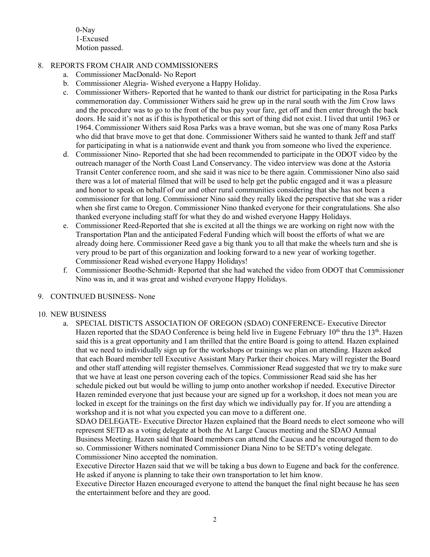0-Nay 1-Excused Motion passed.

## 8. REPORTS FROM CHAIR AND COMMISSIONERS

- a. Commissioner MacDonald- No Report
- b. Commissioner Alegria- Wished everyone a Happy Holiday.
- c. Commissioner Withers- Reported that he wanted to thank our district for participating in the Rosa Parks commemoration day. Commissioner Withers said he grew up in the rural south with the Jim Crow laws and the procedure was to go to the front of the bus pay your fare, get off and then enter through the back doors. He said it's not as if this is hypothetical or this sort of thing did not exist. I lived that until 1963 or 1964. Commissioner Withers said Rosa Parks was a brave woman, but she was one of many Rosa Parks who did that brave move to get that done. Commissioner Withers said he wanted to thank Jeff and staff for participating in what is a nationwide event and thank you from someone who lived the experience.
- d. Commissioner Nino- Reported that she had been recommended to participate in the ODOT video by the outreach manager of the North Coast Land Conservancy. The video interview was done at the Astoria Transit Center conference room, and she said it was nice to be there again. Commissioner Nino also said there was a lot of material filmed that will be used to help get the public engaged and it was a pleasure and honor to speak on behalf of our and other rural communities considering that she has not been a commissioner for that long. Commissioner Nino said they really liked the perspective that she was a rider when she first came to Oregon. Commissioner Nino thanked everyone for their congratulations. She also thanked everyone including staff for what they do and wished everyone Happy Holidays.
- e. Commissioner Reed-Reported that she is excited at all the things we are working on right now with the Transportation Plan and the anticipated Federal Funding which will boost the efforts of what we are already doing here. Commissioner Reed gave a big thank you to all that make the wheels turn and she is very proud to be part of this organization and looking forward to a new year of working together. Commissioner Read wished everyone Happy Holidays!
- f. Commissioner Boothe-Schmidt- Reported that she had watched the video from ODOT that Commissioner Nino was in, and it was great and wished everyone Happy Holidays.

## 9. CONTINUED BUSINESS- None

## 10. NEW BUSINESS

a. SPECIAL DISTICTS ASSOCIATION OF OREGON (SDAO) CONFERENCE- Executive Director Hazen reported that the SDAO Conference is being held live in Eugene February  $10<sup>th</sup>$  thru the  $13<sup>th</sup>$ . Hazen said this is a great opportunity and I am thrilled that the entire Board is going to attend. Hazen explained that we need to individually sign up for the workshops or trainings we plan on attending. Hazen asked that each Board member tell Executive Assistant Mary Parker their choices. Mary will register the Board and other staff attending will register themselves. Commissioner Read suggested that we try to make sure that we have at least one person covering each of the topics. Commissioner Read said she has her schedule picked out but would be willing to jump onto another workshop if needed. Executive Director Hazen reminded everyone that just because your are signed up for a workshop, it does not mean you are locked in except for the trainings on the first day which we individually pay for. If you are attending a workshop and it is not what you expected you can move to a different one.

SDAO DELEGATE- Executive Director Hazen explained that the Board needs to elect someone who will represent SETD as a voting delegate at both the At Large Caucus meeting and the SDAO Annual Business Meeting. Hazen said that Board members can attend the Caucus and he encouraged them to do so. Commissioner Withers nominated Commissioner Diana Nino to be SETD's voting delegate. Commissioner Nino accepted the nomination.

Executive Director Hazen said that we will be taking a bus down to Eugene and back for the conference. He asked if anyone is planning to take their own transportation to let him know.

Executive Director Hazen encouraged everyone to attend the banquet the final night because he has seen the entertainment before and they are good.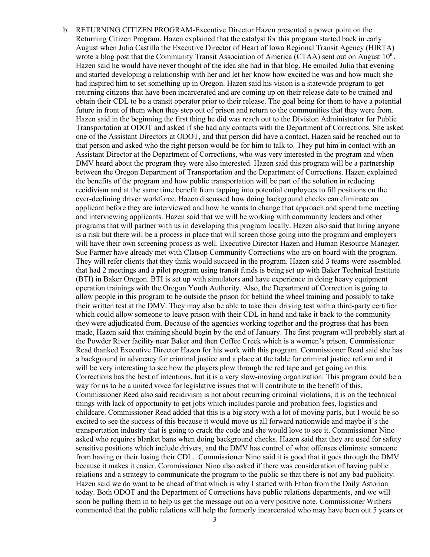b. RETURNING CITIZEN PROGRAM-Executive Director Hazen presented a power point on the Returning Citizen Program. Hazen explained that the catalyst for this program started back in early August when Julia Castillo the Executive Director of Heart of Iowa Regional Transit Agency (HIRTA) wrote a blog post that the Community Transit Association of America (CTAA) sent out on August  $10^{th}$ . Hazen said he would have never thought of the idea she had in that blog. He emailed Julia that evening and started developing a relationship with her and let her know how excited he was and how much she had inspired him to set something up in Oregon. Hazen said his vision is a statewide program to get returning citizens that have been incarcerated and are coming up on their release date to be trained and obtain their CDL to be a transit operator prior to their release. The goal being for them to have a potential future in front of them when they step out of prison and return to the communities that they were from. Hazen said in the beginning the first thing he did was reach out to the Division Administrator for Public Transportation at ODOT and asked if she had any contacts with the Department of Corrections. She asked one of the Assistant Directors at ODOT, and that person did have a contact. Hazen said he reached out to that person and asked who the right person would be for him to talk to. They put him in contact with an Assistant Director at the Department of Corrections, who was very interested in the program and when DMV heard about the program they were also interested. Hazen said this program will be a partnership between the Oregon Department of Transportation and the Department of Corrections. Hazen explained the benefits of the program and how public transportation will be part of the solution in reducing recidivism and at the same time benefit from tapping into potential employees to fill positions on the ever-declining driver workforce. Hazen discussed how doing background checks can eliminate an applicant before they are interviewed and how he wants to change that approach and spend time meeting and interviewing applicants. Hazen said that we will be working with community leaders and other programs that will partner with us in developing this program locally. Hazen also said that hiring anyone is a risk but there will be a process in place that will screen those going into the program and employers will have their own screening process as well. Executive Director Hazen and Human Resource Manager, Sue Farmer have already met with Clatsop Community Corrections who are on board with the program. They will refer clients that they think would succeed in the program. Hazen said 3 teams were assembled that had 2 meetings and a pilot program using transit funds is being set up with Baker Technical Institute (BTI) in Baker Oregon. BTI is set up with simulators and have experience in doing heavy equipment operation trainings with the Oregon Youth Authority. Also, the Department of Correction is going to allow people in this program to be outside the prison for behind the wheel training and possibly to take their written test at the DMV. They may also be able to take their driving test with a third-party certifier which could allow someone to leave prison with their CDL in hand and take it back to the community they were adjudicated from. Because of the agencies working together and the progress that has been made, Hazen said that training should begin by the end of January. The first program will probably start at the Powder River facility near Baker and then Coffee Creek which is a women's prison. Commissioner Read thanked Executive Director Hazen for his work with this program. Commissioner Read said she has a background in advocacy for criminal justice and a place at the table for criminal justice reform and it will be very interesting to see how the players plow through the red tape and get going on this. Corrections has the best of intentions, but it is a very slow-moving organization. This program could be a way for us to be a united voice for legislative issues that will contribute to the benefit of this. Commissioner Reed also said recidivism is not about recurring criminal violations, it is on the technical things with lack of opportunity to get jobs which includes parole and probation fees, logistics and childcare. Commissioner Read added that this is a big story with a lot of moving parts, but I would be so excited to see the success of this because it would move us all forward nationwide and maybe it's the transportation industry that is going to crack the code and she would love to see it. Commissioner Nino asked who requires blanket bans when doing background checks. Hazen said that they are used for safety sensitive positions which include drivers, and the DMV has control of what offenses eliminate someone from having or their losing their CDL. Commissioner Nino said it is good that it goes through the DMV because it makes it easier. Commissioner Nino also asked if there was consideration of having public relations and a strategy to communicate the program to the public so that there is not any bad publicity. Hazen said we do want to be ahead of that which is why I started with Ethan from the Daily Astorian today. Both ODOT and the Department of Corrections have public relations departments, and we will soon be pulling them in to help us get the message out on a very positive note. Commissioner Withers commented that the public relations will help the formerly incarcerated who may have been out 5 years or